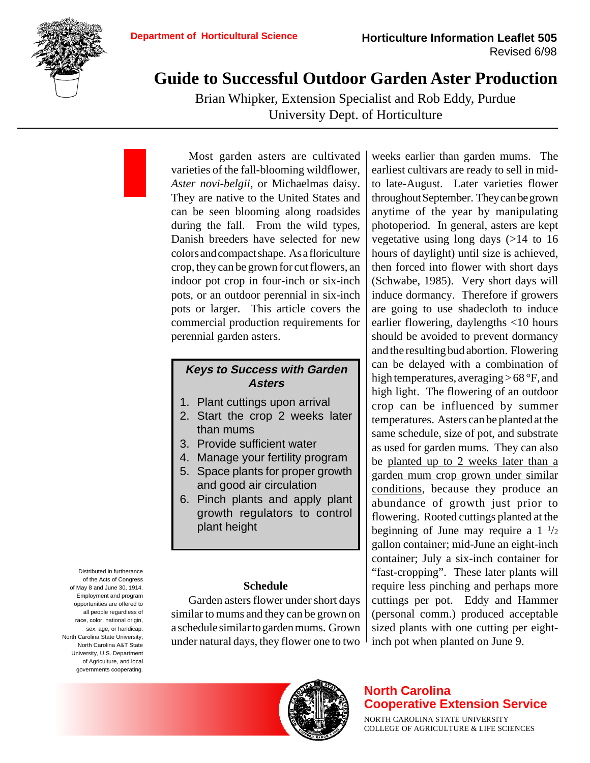

# **Guide to Successful Outdoor Garden Aster Production**

Brian Whipker, Extension Specialist and Rob Eddy, Purdue University Dept. of Horticulture

Most garden asters are cultivated varieties of the fall-blooming wildflower, *Aster novi-belgii*, or Michaelmas daisy. They are native to the United States and can be seen blooming along roadsides during the fall. From the wild types, Danish breeders have selected for new colors and compact shape. As a floriculture crop, they can be grown for cut flowers, an indoor pot crop in four-inch or six-inch pots, or an outdoor perennial in six-inch pots or larger. This article covers the commercial production requirements for perennial garden asters.

## **Keys to Success with Garden Asters**

- 1. Plant cuttings upon arrival
- 2. Start the crop 2 weeks later than mums
- 3. Provide sufficient water
- 4. Manage your fertility program
- 5. Space plants for proper growth and good air circulation
- 6. Pinch plants and apply plant growth regulators to control plant height

## **Schedule**

Garden asters flower under short days similar to mums and they can be grown on a schedule similar to garden mums. Grown under natural days, they flower one to two

weeks earlier than garden mums. The earliest cultivars are ready to sell in midto late-August. Later varieties flower throughout September. They can be grown anytime of the year by manipulating photoperiod. In general, asters are kept vegetative using long days (>14 to 16 hours of daylight) until size is achieved, then forced into flower with short days (Schwabe, 1985). Very short days will induce dormancy. Therefore if growers are going to use shadecloth to induce earlier flowering, daylengths <10 hours should be avoided to prevent dormancy and the resulting bud abortion. Flowering can be delayed with a combination of high temperatures, averaging > 68 °F, and high light. The flowering of an outdoor crop can be influenced by summer temperatures. Asters can be planted at the same schedule, size of pot, and substrate as used for garden mums. They can also be planted up to 2 weeks later than a garden mum crop grown under similar conditions, because they produce an abundance of growth just prior to flowering. Rooted cuttings planted at the beginning of June may require a  $1\frac{1}{2}$ gallon container; mid-June an eight-inch container; July a six-inch container for "fast-cropping". These later plants will require less pinching and perhaps more cuttings per pot. Eddy and Hammer (personal comm.) produced acceptable sized plants with one cutting per eightinch pot when planted on June 9.



Distributed in furtherance



# **North Carolina Cooperative Extension Service**

NORTH CAROLINA STATE UNIVERSITY COLLEGE OF AGRICULTURE & LIFE SCIENCES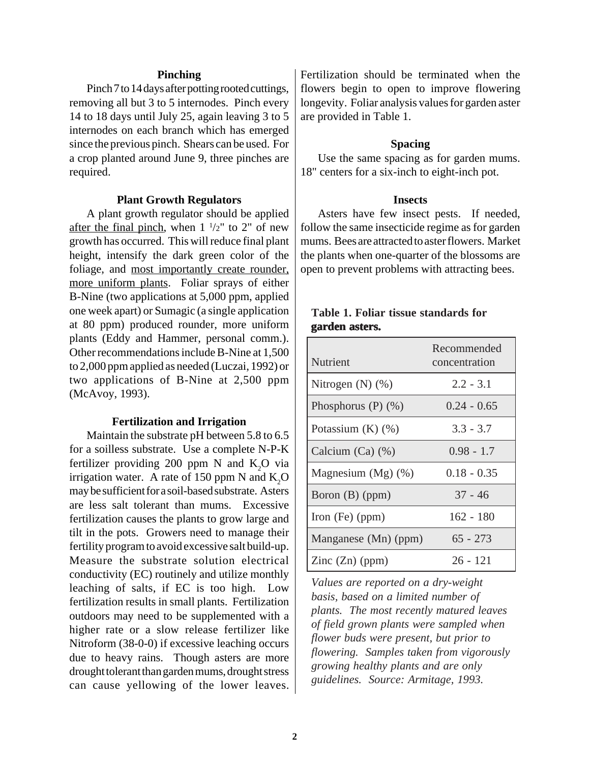## **Pinching**

Pinch 7 to 14 days after potting rooted cuttings, removing all but 3 to 5 internodes. Pinch every 14 to 18 days until July 25, again leaving 3 to 5 internodes on each branch which has emerged since the previous pinch. Shears can be used. For a crop planted around June 9, three pinches are required.

#### **Plant Growth Regulators**

A plant growth regulator should be applied after the final pinch, when  $1 \frac{1}{2}$  to 2" of new growth has occurred. This will reduce final plant height, intensify the dark green color of the foliage, and most importantly create rounder, more uniform plants. Foliar sprays of either B-Nine (two applications at 5,000 ppm, applied one week apart) or Sumagic (a single application at 80 ppm) produced rounder, more uniform plants (Eddy and Hammer, personal comm.). Other recommendations include B-Nine at 1,500 to 2,000 ppm applied as needed (Luczai, 1992) or two applications of B-Nine at 2,500 ppm (McAvoy, 1993).

#### **Fertilization and Irrigation**

Maintain the substrate pH between 5.8 to 6.5 for a soilless substrate. Use a complete N-P-K fertilizer providing 200 ppm N and  $K_2O$  via irrigation water. A rate of 150 ppm N and  $K_2O$ may be sufficient for a soil-based substrate. Asters are less salt tolerant than mums. Excessive fertilization causes the plants to grow large and tilt in the pots. Growers need to manage their fertility program to avoid excessive salt build-up. Measure the substrate solution electrical conductivity (EC) routinely and utilize monthly leaching of salts, if EC is too high. Low fertilization results in small plants. Fertilization outdoors may need to be supplemented with a higher rate or a slow release fertilizer like Nitroform (38-0-0) if excessive leaching occurs due to heavy rains. Though asters are more drought tolerant than garden mums, drought stress can cause yellowing of the lower leaves. Fertilization should be terminated when the flowers begin to open to improve flowering longevity. Foliar analysis values for garden aster are provided in Table 1.

## **Spacing**

Use the same spacing as for garden mums. 18" centers for a six-inch to eight-inch pot.

#### **Insects**

Asters have few insect pests. If needed, follow the same insecticide regime as for garden mums. Bees are attracted to aster flowers. Market the plants when one-quarter of the blossoms are open to prevent problems with attracting bees.

| garden asters.        |                              |  |  |  |  |  |
|-----------------------|------------------------------|--|--|--|--|--|
| <b>Nutrient</b>       | Recommended<br>concentration |  |  |  |  |  |
| $\mathbf{r}$<br>(1.7) |                              |  |  |  |  |  |

**Table 1. Foliar tissue standards for**

| Nutrient                | Recommended<br>concentration |
|-------------------------|------------------------------|
| Nitrogen $(N)$ $(\%)$   | $2.2 - 3.1$                  |
| Phosphorus $(P)$ $(\%)$ | $0.24 - 0.65$                |
| Potassium $(K)$ $(\%)$  | $3.3 - 3.7$                  |
| Calcium (Ca) (%)        | $0.98 - 1.7$                 |
| Magnesium $(Mg)$ $(\%)$ | $0.18 - 0.35$                |
| Boron (B) (ppm)         | $37 - 46$                    |
| Iron $(Fe)$ (ppm)       | $162 - 180$                  |
| Manganese (Mn) (ppm)    | $65 - 273$                   |
| Zinc $(Zn)$ (ppm)       | 26 - 121                     |

*Values are reported on a dry-weight basis, based on a limited number of plants. The most recently matured leaves of field grown plants were sampled when flower buds were present, but prior to flowering. Samples taken from vigorously growing healthy plants and are only guidelines. Source: Armitage, 1993.*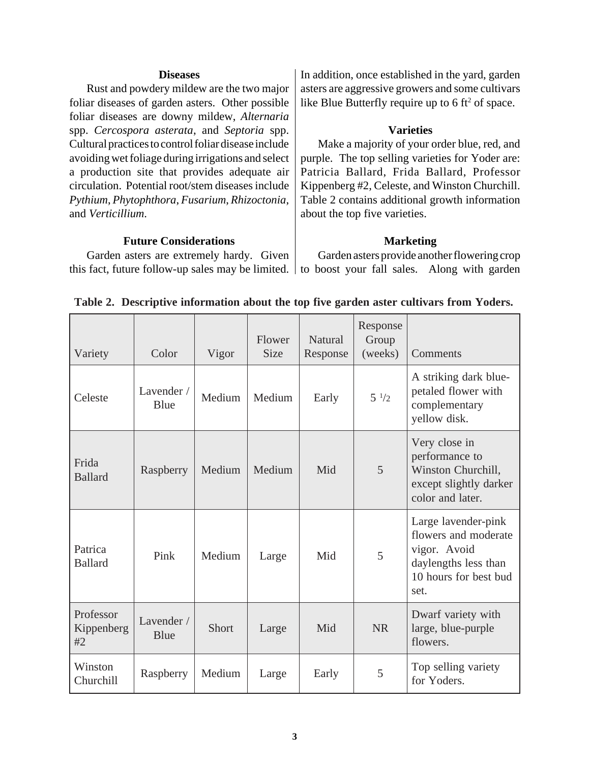#### **Diseases**

Rust and powdery mildew are the two major foliar diseases of garden asters. Other possible foliar diseases are downy mildew, *Alternaria* spp. *Cercospora asterata*, and *Septoria* spp. Cultural practices to control foliar disease include avoiding wet foliage during irrigations and select a production site that provides adequate air circulation. Potential root/stem diseases include *Pythium*, *Phytophthora*, *Fusarium*, *Rhizoctonia*, and *Verticillium*.

## **Future Considerations**

Garden asters are extremely hardy. Given this fact, future follow-up sales may be limited. to boost your fall sales. Along with garden

In addition, once established in the yard, garden asters are aggressive growers and some cultivars like Blue Butterfly require up to  $6 \text{ ft}^2$  of space.

## **Varieties**

Make a majority of your order blue, red, and purple. The top selling varieties for Yoder are: Patricia Ballard, Frida Ballard, Professor Kippenberg #2, Celeste, and Winston Churchill. Table 2 contains additional growth information about the top five varieties.

#### **Marketing**

Garden asters provide another flowering crop

| Variety                       | Color              | Vigor  | Flower<br><b>Size</b> | <b>Natural</b><br>Response | Response<br>Group<br>(weeks) | Comments                                                                                                             |
|-------------------------------|--------------------|--------|-----------------------|----------------------------|------------------------------|----------------------------------------------------------------------------------------------------------------------|
| Celeste                       | Lavender /<br>Blue | Medium | Medium                | Early                      | $5^{1/2}$                    | A striking dark blue-<br>petaled flower with<br>complementary<br>yellow disk.                                        |
| Frida<br><b>Ballard</b>       | Raspberry          | Medium | Medium                | Mid                        | 5                            | Very close in<br>performance to<br>Winston Churchill,<br>except slightly darker<br>color and later.                  |
| Patrica<br><b>Ballard</b>     | Pink               | Medium | Large                 | Mid                        | 5                            | Large lavender-pink<br>flowers and moderate<br>vigor. Avoid<br>daylengths less than<br>10 hours for best bud<br>set. |
| Professor<br>Kippenberg<br>#2 | Lavender /<br>Blue | Short  | Large                 | Mid                        | <b>NR</b>                    | Dwarf variety with<br>large, blue-purple<br>flowers.                                                                 |
| Winston<br>Churchill          | Raspberry          | Medium | Large                 | Early                      | 5                            | Top selling variety<br>for Yoders.                                                                                   |

## **Table 2. Descriptive information about the top five garden aster cultivars from Yoders.**